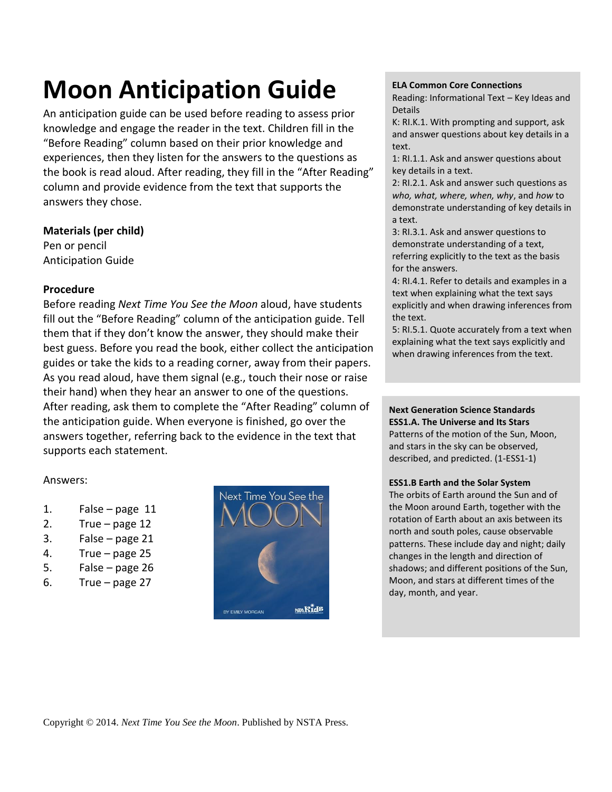# **Moon Anticipation Guide**

An anticipation guide can be used before reading to assess prior knowledge and engage the reader in the text. Children fill in the "Before Reading" column based on their prior knowledge and experiences, then they listen for the answers to the questions as the book is read aloud. After reading, they fill in the "After Reading" column and provide evidence from the text that supports the answers they chose.

## **Materials (per child)**

Pen or pencil Anticipation Guide

## **Procedure**

Before reading *Next Time You See the Moon* aloud, have students fill out the "Before Reading" column of the anticipation guide. Tell them that if they don't know the answer, they should make their best guess. Before you read the book, either collect the anticipation guides or take the kids to a reading corner, away from their papers. As you read aloud, have them signal (e.g., touch their nose or raise their hand) when they hear an answer to one of the questions. After reading, ask them to complete the "After Reading" column of the anticipation guide. When everyone is finished, go over the answers together, referring back to the evidence in the text that supports each statement.

## Answers:

- 1. False page 11
- 2. True page 12
- 3. False page 21
- 4. True page 25
- 5. False page 26
- 6. True page 27



#### **ELA Common Core Connections**

Reading: Informational Text – Key Ideas and Details

K: RI.K.1. With prompting and support, ask and answer questions about key details in a text.

1: RI.1.1. Ask and answer questions about key details in a text.

2: RI.2.1. Ask and answer such questions as *who, what, where, when, why*, and *how* to demonstrate understanding of key details in a text.

3: RI.3.1. Ask and answer questions to demonstrate understanding of a text, referring explicitly to the text as the basis for the answers.

4: RI.4.1. Refer to details and examples in a text when explaining what the text says explicitly and when drawing inferences from the text.

5: RI.5.1. Quote accurately from a text when explaining what the text says explicitly and when drawing inferences from the text.

**Next Generation Science Standards ESS1.A. The Universe and Its Stars** Patterns of the motion of the Sun, Moon, and stars in the sky can be observed, described, and predicted. (1-ESS1-1)

#### **ESS1.B Earth and the Solar System**

The orbits of Earth around the Sun and of the Moon around Earth, together with the rotation of Earth about an axis between its north and south poles, cause observable patterns. These include day and night; daily changes in the length and direction of shadows; and different positions of the Sun, Moon, and stars at different times of the day, month, and year.